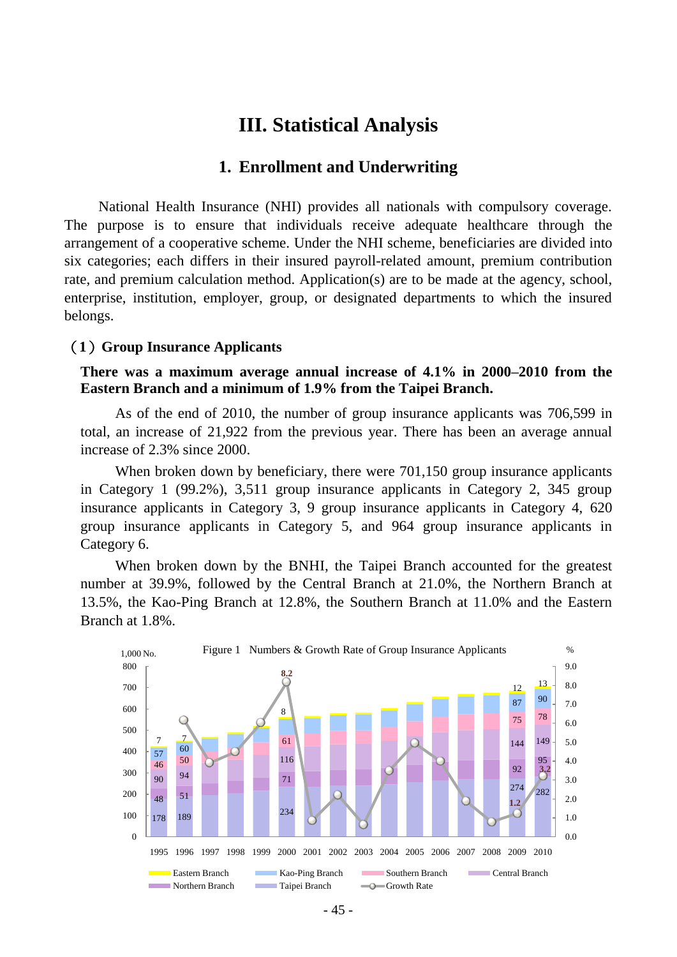# **III. Statistical Analysis**

### **1. Enrollment and Underwriting**

National Health Insurance (NHI) provides all nationals with compulsory coverage. The purpose is to ensure that individuals receive adequate healthcare through the arrangement of a cooperative scheme. Under the NHI scheme, beneficiaries are divided into six categories; each differs in their insured payroll-related amount, premium contribution rate, and premium calculation method. Application(s) are to be made at the agency, school, enterprise, institution, employer, group, or designated departments to which the insured belongs.

#### (**1**)**Group Insurance Applicants**

**There was a maximum average annual increase of 4.1% in 2000–2010 from the Eastern Branch and a minimum of 1.9% from the Taipei Branch.** 

As of the end of 2010, the number of group insurance applicants was 706,599 in total, an increase of 21,922 from the previous year. There has been an average annual increase of 2.3% since 2000.

When broken down by beneficiary, there were 701,150 group insurance applicants in Category 1 (99.2%), 3,511 group insurance applicants in Category 2, 345 group insurance applicants in Category 3, 9 group insurance applicants in Category 4, 620 group insurance applicants in Category 5, and 964 group insurance applicants in Category 6.

When broken down by the BNHI, the Taipei Branch accounted for the greatest number at 39.9%, followed by the Central Branch at 21.0%, the Northern Branch at 13.5%, the Kao-Ping Branch at 12.8%, the Southern Branch at 11.0% and the Eastern Branch at 1.8%.

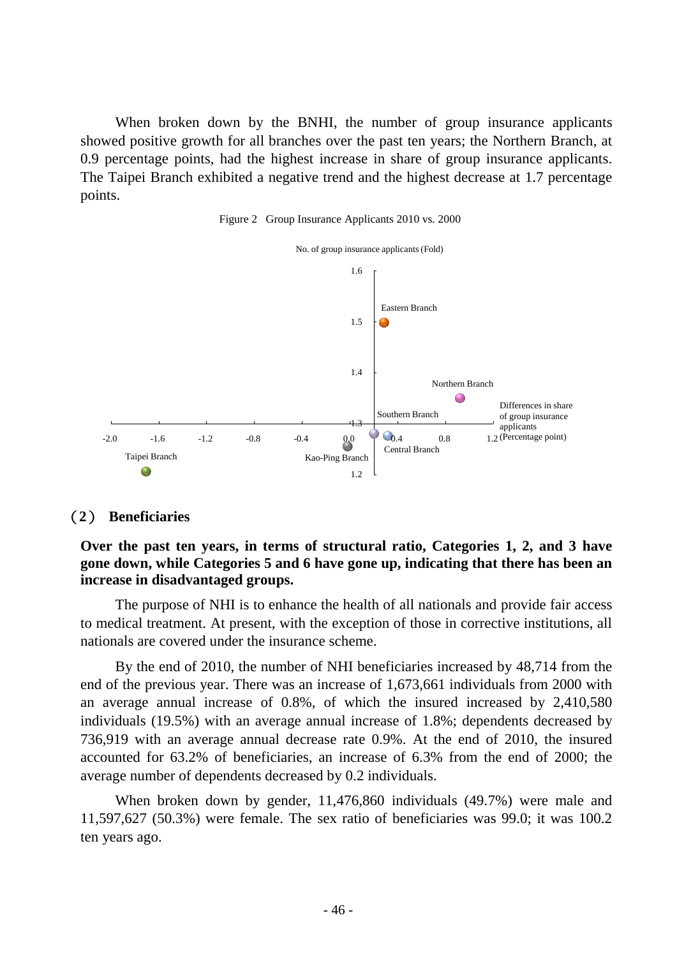When broken down by the BNHI, the number of group insurance applicants showed positive growth for all branches over the past ten years; the Northern Branch, at 0.9 percentage points, had the highest increase in share of group insurance applicants. The Taipei Branch exhibited a negative trend and the highest decrease at 1.7 percentage points.

Figure 2 Group Insurance Applicants 2010 vs. 2000



### (**2**) **Beneficiaries**

### **Over the past ten years, in terms of structural ratio, Categories 1, 2, and 3 have gone down, while Categories 5 and 6 have gone up, indicating that there has been an increase in disadvantaged groups.**

The purpose of NHI is to enhance the health of all nationals and provide fair access to medical treatment. At present, with the exception of those in corrective institutions, all nationals are covered under the insurance scheme.

By the end of 2010, the number of NHI beneficiaries increased by 48,714 from the end of the previous year. There was an increase of 1,673,661 individuals from 2000 with an average annual increase of 0.8%, of which the insured increased by 2,410,580 individuals (19.5%) with an average annual increase of 1.8%; dependents decreased by 736,919 with an average annual decrease rate 0.9%. At the end of 2010, the insured accounted for 63.2% of beneficiaries, an increase of 6.3% from the end of 2000; the average number of dependents decreased by 0.2 individuals.

When broken down by gender, 11,476,860 individuals (49.7%) were male and 11,597,627 (50.3%) were female. The sex ratio of beneficiaries was 99.0; it was 100.2 ten years ago.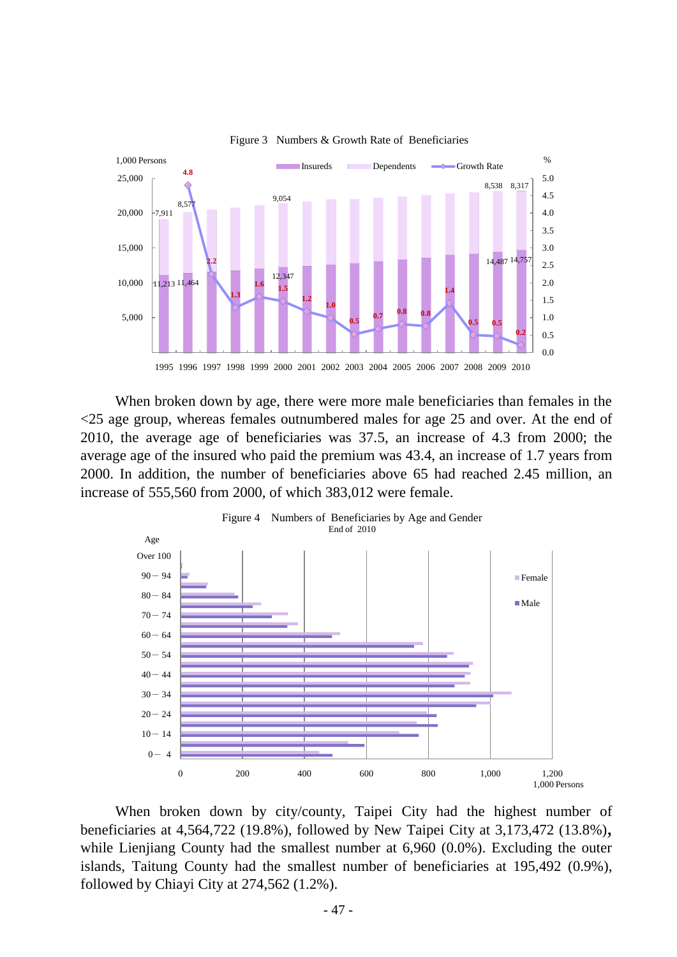

Figure 3 Numbers & Growth Rate of Beneficiaries

When broken down by age, there were more male beneficiaries than females in the <25 age group, whereas females outnumbered males for age 25 and over. At the end of 2010, the average age of beneficiaries was 37.5, an increase of 4.3 from 2000; the average age of the insured who paid the premium was 43.4, an increase of 1.7 years from 2000. In addition, the number of beneficiaries above 65 had reached 2.45 million, an increase of 555,560 from 2000, of which 383,012 were female.



When broken down by city/county, Taipei City had the highest number of beneficiaries at 4,564,722 (19.8%), followed by New Taipei City at 3,173,472 (13.8%), while Lienjiang County had the smallest number at 6,960 (0.0%). Excluding the outer islands, Taitung County had the smallest number of beneficiaries at 195,492 (0.9%), followed by Chiayi City at 274,562 (1.2%).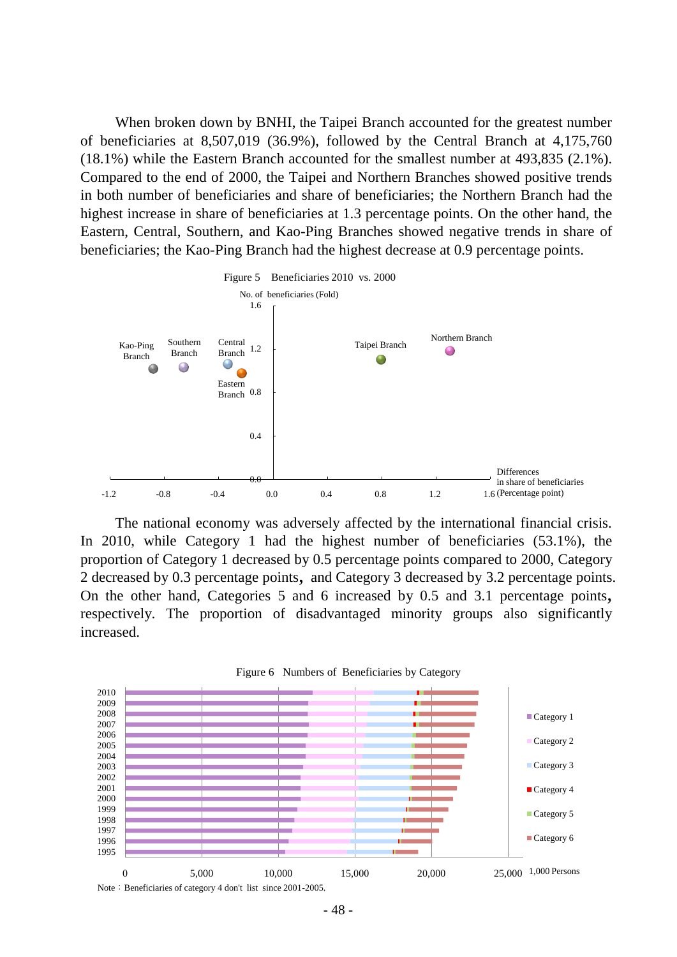When broken down by BNHI, the Taipei Branch accounted for the greatest number of beneficiaries at 8,507,019 (36.9%), followed by the Central Branch at 4,175,760 (18.1%) while the Eastern Branch accounted for the smallest number at 493,835 (2.1%). Compared to the end of 2000, the Taipei and Northern Branches showed positive trends in both number of beneficiaries and share of beneficiaries; the Northern Branch had the highest increase in share of beneficiaries at 1.3 percentage points. On the other hand, the Eastern, Central, Southern, and Kao-Ping Branches showed negative trends in share of beneficiaries; the Kao-Ping Branch had the highest decrease at 0.9 percentage points.



The national economy was adversely affected by the international financial crisis. In 2010, while Category 1 had the highest number of beneficiaries (53.1%), the proportion of Category 1 decreased by 0.5 percentage points compared to 2000, Category 2 decreased by 0.3 percentage points, and Category 3 decreased by 3.2 percentage points. On the other hand, Categories 5 and 6 increased by 0.5 and 3.1 percentage points, respectively. The proportion of disadvantaged minority groups also significantly increased.



<sup>-</sup> 48 -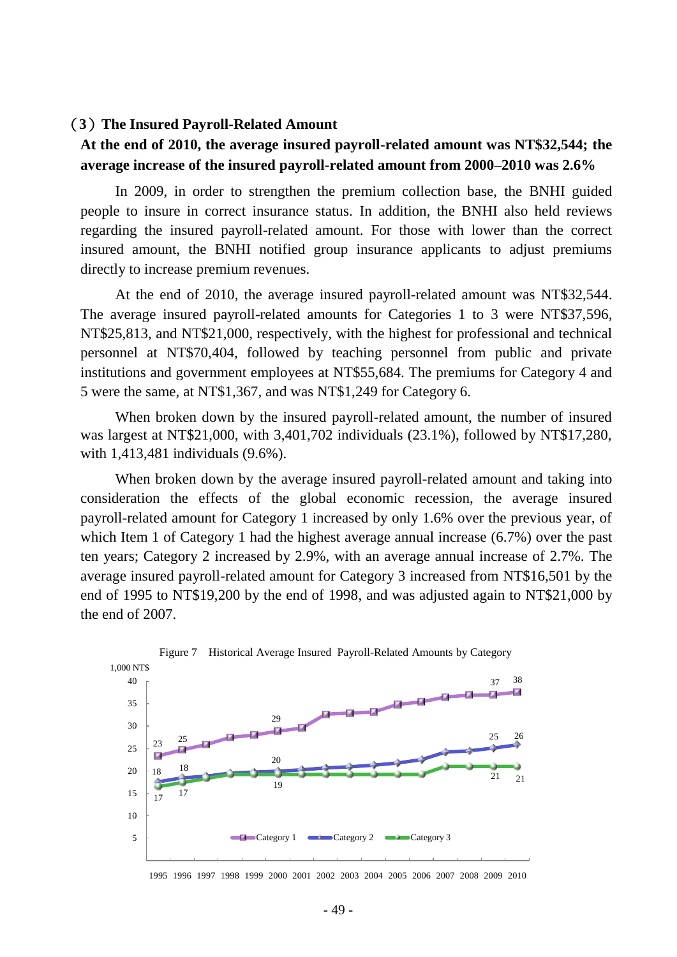#### (**3**)**The Insured Payroll-Related Amount**

## **At the end of 2010, the average insured payroll-related amount was NT\$32,544; the average increase of the insured payroll-related amount from 2000–2010 was 2.6%**

In 2009, in order to strengthen the premium collection base, the BNHI guided people to insure in correct insurance status. In addition, the BNHI also held reviews regarding the insured payroll-related amount. For those with lower than the correct insured amount, the BNHI notified group insurance applicants to adjust premiums directly to increase premium revenues.

At the end of 2010, the average insured payroll-related amount was NT\$32,544. The average insured payroll-related amounts for Categories 1 to 3 were NT\$37,596, NT\$25,813, and NT\$21,000, respectively, with the highest for professional and technical personnel at NT\$70,404, followed by teaching personnel from public and private institutions and government employees at NT\$55,684. The premiums for Category 4 and 5 were the same, at NT\$1,367, and was NT\$1,249 for Category 6.

When broken down by the insured payroll-related amount, the number of insured was largest at NT\$21,000, with 3,401,702 individuals (23.1%), followed by NT\$17,280, with 1,413,481 individuals (9.6%).

When broken down by the average insured payroll-related amount and taking into consideration the effects of the global economic recession, the average insured payroll-related amount for Category 1 increased by only 1.6% over the previous year, of which Item 1 of Category 1 had the highest average annual increase (6.7%) over the past ten years; Category 2 increased by 2.9%, with an average annual increase of 2.7%. The average insured payroll-related amount for Category 3 increased from NT\$16,501 by the end of 1995 to NT\$19,200 by the end of 1998, and was adjusted again to NT\$21,000 by the end of 2007.



1995 1996 1997 1998 1999 2000 2001 2002 2003 2004 2005 2006 2007 2008 2009 2010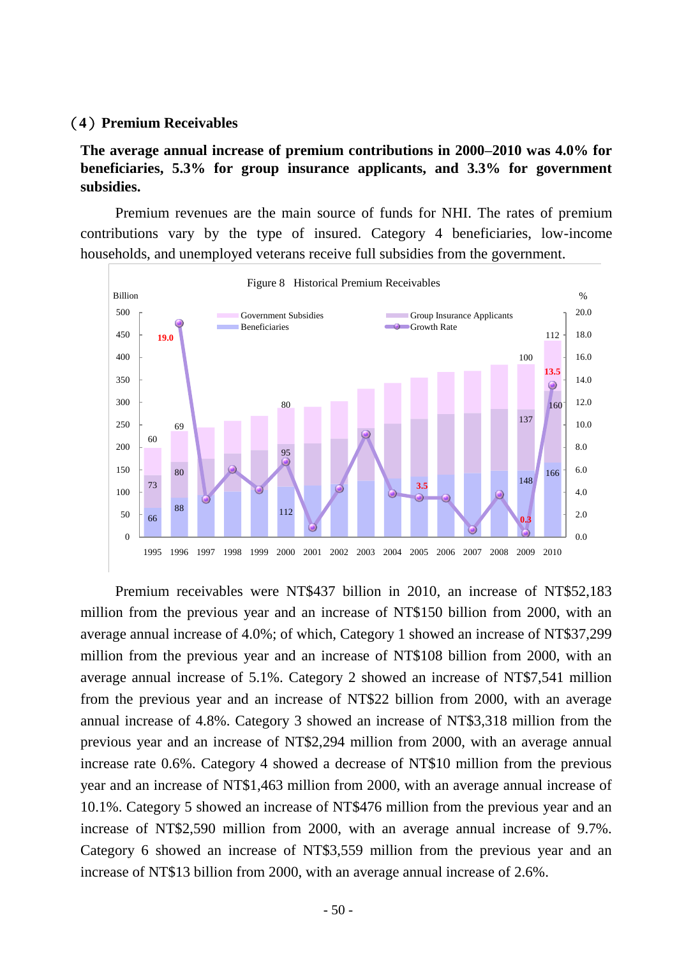#### (**4**)**Premium Receivables**

**The average annual increase of premium contributions in 2000–2010 was 4.0% for beneficiaries, 5.3% for group insurance applicants, and 3.3% for government subsidies.**

Premium revenues are the main source of funds for NHI. The rates of premium contributions vary by the type of insured. Category 4 beneficiaries, low-income households, and unemployed veterans receive full subsidies from the government.



Figure 8 Historical Premium Receivables

Premium receivables were NT\$437 billion in 2010, an increase of NT\$52,183 million from the previous year and an increase of NT\$150 billion from 2000, with an average annual increase of 4.0%; of which, Category 1 showed an increase of NT\$37,299 million from the previous year and an increase of NT\$108 billion from 2000, with an average annual increase of 5.1%. Category 2 showed an increase of NT\$7,541 million from the previous year and an increase of NT\$22 billion from 2000, with an average annual increase of 4.8%. Category 3 showed an increase of NT\$3,318 million from the previous year and an increase of NT\$2,294 million from 2000, with an average annual increase rate 0.6%. Category 4 showed a decrease of NT\$10 million from the previous year and an increase of NT\$1,463 million from 2000, with an average annual increase of 10.1%. Category 5 showed an increase of NT\$476 million from the previous year and an increase of NT\$2,590 million from 2000, with an average annual increase of 9.7%. Category 6 showed an increase of NT\$3,559 million from the previous year and an increase of NT\$13 billion from 2000, with an average annual increase of 2.6%.